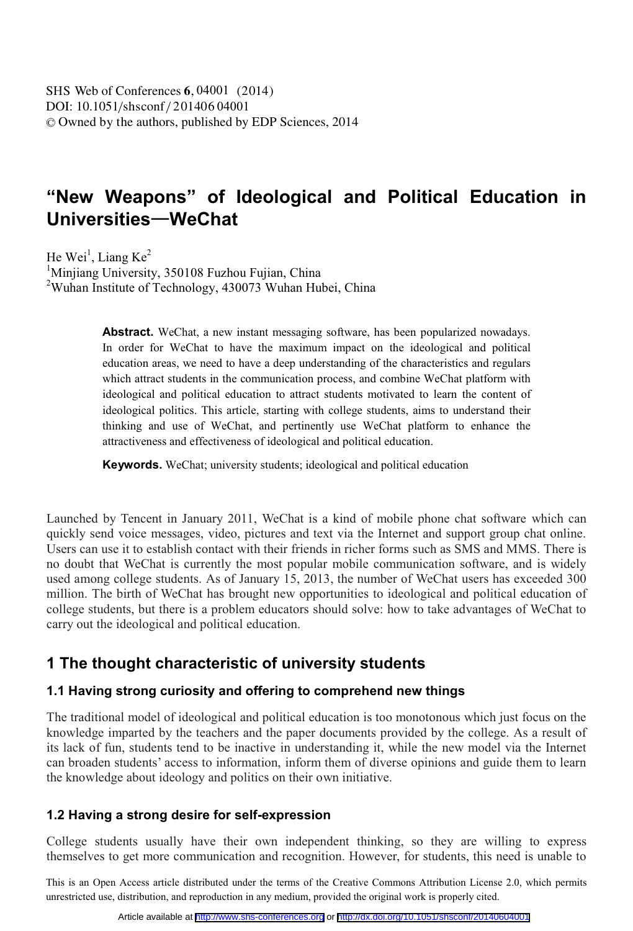# **"New Weapons" of Ideological and Political Education in Universities—WeChat**

He Wei<sup>1</sup>, Liang Ke<sup>2</sup><br><sup>1</sup>Minijang University <sup>1</sup>Minjiang University, 350108 Fuzhou Fujian, China <sup>2</sup>Wuhan Institute of Technology, 430073 Wuhan Hubei, China

> **Abstract.** WeChat, a new instant messaging software, has been popularized nowadays. In order for WeChat to have the maximum impact on the ideological and political education areas, we need to have a deep understanding of the characteristics and regulars which attract students in the communication process, and combine WeChat platform with ideological and political education to attract students motivated to learn the content of ideological politics. This article, starting with college students, aims to understand their thinking and use of WeChat, and pertinently use WeChat platform to enhance the attractiveness and effectiveness of ideological and political education.

**Keywords.** WeChat; university students; ideological and political education

Launched by Tencent in January 2011, WeChat is a kind of mobile phone chat software which can quickly send voice messages, video, pictures and text via the Internet and support group chat online. Users can use it to establish contact with their friends in richer forms such as SMS and MMS. There is no doubt that WeChat is currently the most popular mobile communication software, and is widely used among college students. As of January 15, 2013, the number of WeChat users has exceeded 300 million. The birth of WeChat has brought new opportunities to ideological and political education of college students, but there is a problem educators should solve: how to take advantages of WeChat to carry out the ideological and political education.

### **1 The thought characteristic of university students**

#### **1.1 Having strong curiosity and offering to comprehend new things**

The traditional model of ideological and political education is too monotonous which just focus on the knowledge imparted by the teachers and the paper documents provided by the college. As a result of its lack of fun, students tend to be inactive in understanding it, while the new model via the Internet can broaden students' access to information, inform them of diverse opinions and guide them to learn the knowledge about ideology and politics on their own initiative.

#### **1.2 Having a strong desire for self-expression**

College students usually have their own independent thinking, so they are willing to express themselves to get more communication and recognition. However, for students, this need is unable to

This is an Open Access article distributed under the terms of the Creative Commons Attribution License 2.0, which permits unrestricted use, distribution, and reproduction in any medium, provided the original work is properly cited.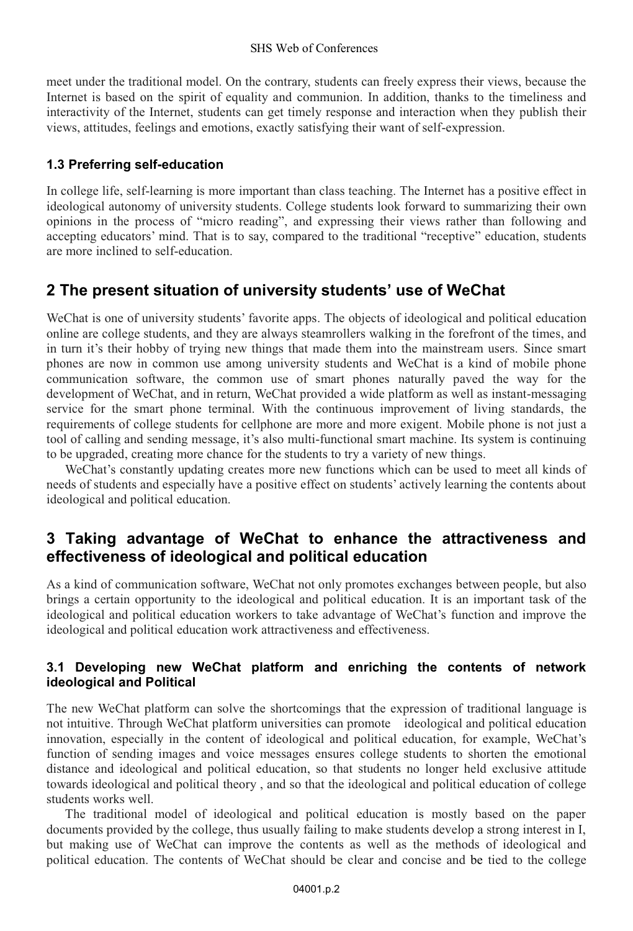meet under the traditional model. On the contrary, students can freely express their views, because the Internet is based on the spirit of equality and communion. In addition, thanks to the timeliness and interactivity of the Internet, students can get timely response and interaction when they publish their views, attitudes, feelings and emotions, exactly satisfying their want of self-expression.

### **1.3 Preferring self-education**

In college life, self-learning is more important than class teaching. The Internet has a positive effect in ideological autonomy of university students. College students look forward to summarizing their own opinions in the process of "micro reading", and expressing their views rather than following and accepting educators' mind. That is to say, compared to the traditional "receptive" education, students are more inclined to self-education.

## **2 The present situation of university students' use of WeChat**

WeChat is one of university students' favorite apps. The objects of ideological and political education online are college students, and they are always steamrollers walking in the forefront of the times, and in turn it's their hobby of trying new things that made them into the mainstream users. Since smart phones are now in common use among university students and WeChat is a kind of mobile phone communication software, the common use of smart phones naturally paved the way for the development of WeChat, and in return, WeChat provided a wide platform as well as instant-messaging service for the smart phone terminal. With the continuous improvement of living standards, the requirements of college students for cellphone are more and more exigent. Mobile phone is not just a tool of calling and sending message, it's also multi-functional smart machine. Its system is continuing to be upgraded, creating more chance for the students to try a variety of new things.

WeChat's constantly updating creates more new functions which can be used to meet all kinds of needs of students and especially have a positive effect on students' actively learning the contents about ideological and political education.

## **3 Taking advantage of WeChat to enhance the attractiveness and effectiveness of ideological and political education**

As a kind of communication software, WeChat not only promotes exchanges between people, but also brings a certain opportunity to the ideological and political education. It is an important task of the ideological and political education workers to take advantage of WeChat's function and improve the ideological and political education work attractiveness and effectiveness.

### **3.1 Developing new WeChat platform and enriching the contents of network ideological and Political**

The new WeChat platform can solve the shortcomings that the expression of traditional language is not intuitive. Through WeChat platform universities can promote ideological and political education innovation, especially in the content of ideological and political education, for example, WeChat's function of sending images and voice messages ensures college students to shorten the emotional distance and ideological and political education, so that students no longer held exclusive attitude towards ideological and political theory , and so that the ideological and political education of college students works well.

The traditional model of ideological and political education is mostly based on the paper documents provided by the college, thus usually failing to make students develop a strong interest in I, but making use of WeChat can improve the contents as well as the methods of ideological and political education. The contents of WeChat should be clear and concise and be tied to the college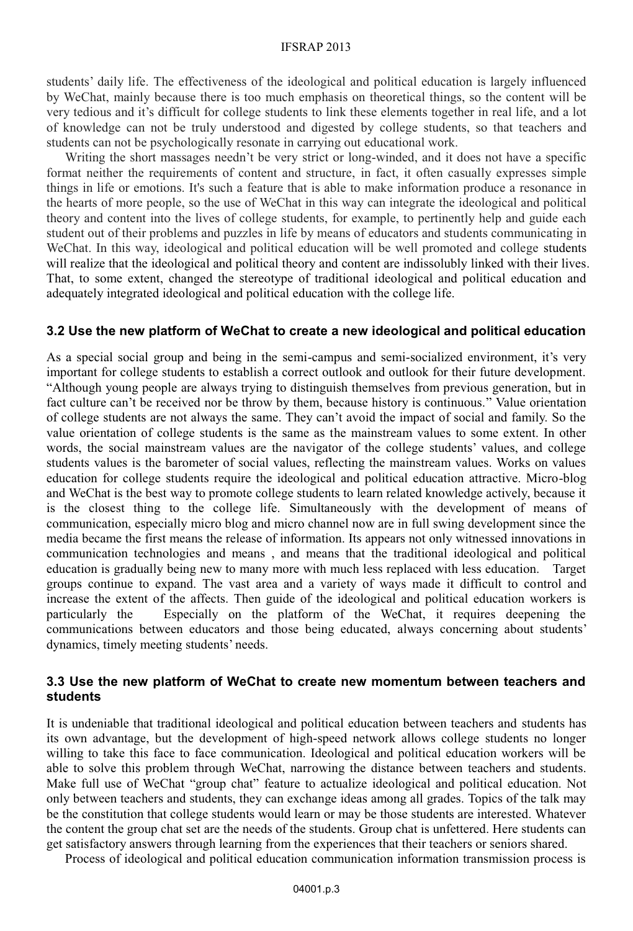#### IFSRAP 2013

students' daily life. The effectiveness of the ideological and political education is largely influenced by WeChat, mainly because there is too much emphasis on theoretical things, so the content will be very tedious and it's difficult for college students to link these elements together in real life, and a lot of knowledge can not be truly understood and digested by college students, so that teachers and students can not be psychologically resonate in carrying out educational work.

Writing the short massages needn't be very strict or long-winded, and it does not have a specific format neither the requirements of content and structure, in fact, it often casually expresses simple things in life or emotions. It's such a feature that is able to make information produce a resonance in the hearts of more people, so the use of WeChat in this way can integrate the ideological and political theory and content into the lives of college students, for example, to pertinently help and guide each student out of their problems and puzzles in life by means of educators and students communicating in WeChat. In this way, ideological and political education will be well promoted and college students will realize that the ideological and political theory and content are indissolubly linked with their lives. That, to some extent, changed the stereotype of traditional ideological and political education and adequately integrated ideological and political education with the college life.

#### **3.2 Use the new platform of WeChat to create a new ideological and political education**

As a special social group and being in the semi-campus and semi-socialized environment, it's very important for college students to establish a correct outlook and outlook for their future development. "Although young people are always trying to distinguish themselves from previous generation, but in fact culture can't be received nor be throw by them, because history is continuous." Value orientation of college students are not always the same. They can't avoid the impact of social and family. So the value orientation of college students is the same as the mainstream values to some extent. In other words, the social mainstream values are the navigator of the college students' values, and college students values is the barometer of social values, reflecting the mainstream values. Works on values education for college students require the ideological and political education attractive. Micro-blog and WeChat is the best way to promote college students to learn related knowledge actively, because it is the closest thing to the college life. Simultaneously with the development of means of communication, especially micro blog and micro channel now are in full swing development since the media became the first means the release of information. Its appears not only witnessed innovations in communication technologies and means , and means that the traditional ideological and political education is gradually being new to many more with much less replaced with less education. Target groups continue to expand. The vast area and a variety of ways made it difficult to control and increase the extent of the affects. Then guide of the ideological and political education workers is particularly the Especially on the platform of the WeChat, it requires deepening the communications between educators and those being educated, always concerning about students' dynamics, timely meeting students' needs.

#### **3.3 Use the new platform of WeChat to create new momentum between teachers and students**

It is undeniable that traditional ideological and political education between teachers and students has its own advantage, but the development of high-speed network allows college students no longer willing to take this face to face communication. Ideological and political education workers will be able to solve this problem through WeChat, narrowing the distance between teachers and students. Make full use of WeChat "group chat" feature to actualize ideological and political education. Not only between teachers and students, they can exchange ideas among all grades. Topics of the talk may be the constitution that college students would learn or may be those students are interested. Whatever the content the group chat set are the needs of the students. Group chat is unfettered. Here students can get satisfactory answers through learning from the experiences that their teachers or seniors shared.

Process of ideological and political education communication information transmission process is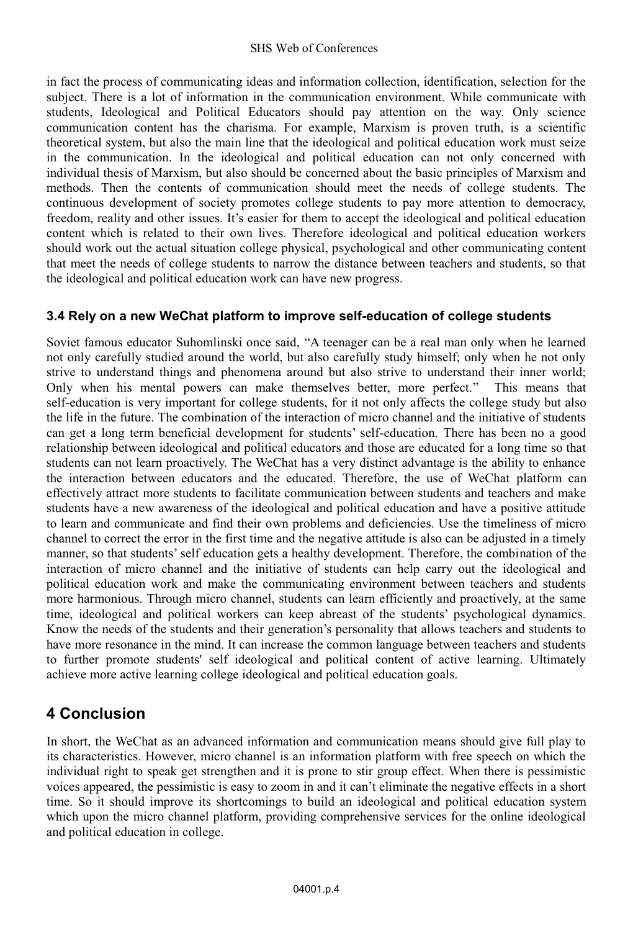in fact the process of communicating ideas and information collection, identification, selection for the subject. There is a lot of information in the communication environment. While communicate with students, Ideological and Political Educators should pay attention on the way. Only science communication content has the charisma. For example, Marxism is proven truth, is a scientific theoretical system, but also the main line that the ideological and political education work must seize in the communication. In the ideological and political education can not only concerned with individual thesis of Marxism, but also should be concerned about the basic principles of Marxism and methods. Then the contents of communication should meet the needs of college students. The continuous development of society promotes college students to pay more attention to democracy, freedom, reality and other issues. It's easier for them to accept the ideological and political education content which is related to their own lives. Therefore ideological and political education workers should work out the actual situation college physical, psychological and other communicating content that meet the needs of college students to narrow the distance between teachers and students, so that the ideological and political education work can have new progress.

### **3.4 Rely on a new WeChat platform to improve self-education of college students**

Soviet famous educator Suhomlinski once said, "A teenager can be a real man only when he learned not only carefully studied around the world, but also carefully study himself; only when he not only strive to understand things and phenomena around but also strive to understand their inner world; Only when his mental powers can make themselves better, more perfect." This means that self-education is very important for college students, for it not only affects the college study but also the life in the future. The combination of the interaction of micro channel and the initiative of students can get a long term beneficial development for students' self-education. There has been no a good relationship between ideological and political educators and those are educated for a long time so that students can not learn proactively. The WeChat has a very distinct advantage is the ability to enhance the interaction between educators and the educated. Therefore, the use of WeChat platform can effectively attract more students to facilitate communication between students and teachers and make students have a new awareness of the ideological and political education and have a positive attitude to learn and communicate and find their own problems and deficiencies. Use the timeliness of micro channel to correct the error in the first time and the negative attitude is also can be adjusted in a timely manner, so that students' self education gets a healthy development. Therefore, the combination of the interaction of micro channel and the initiative of students can help carry out the ideological and political education work and make the communicating environment between teachers and students more harmonious. Through micro channel, students can learn efficiently and proactively, at the same time, ideological and political workers can keep abreast of the students' psychological dynamics. Know the needs of the students and their generation's personality that allows teachers and students to have more resonance in the mind. It can increase the common language between teachers and students to further promote students' self ideological and political content of active learning. Ultimately achieve more active learning college ideological and political education goals.

## **4 Conclusion**

In short, the WeChat as an advanced information and communication means should give full play to its characteristics. However, micro channel is an information platform with free speech on which the individual right to speak get strengthen and it is prone to stir group effect. When there is pessimistic voices appeared, the pessimistic is easy to zoom in and it can't eliminate the negative effects in a short time. So it should improve its shortcomings to build an ideological and political education system which upon the micro channel platform, providing comprehensive services for the online ideological and political education in college.